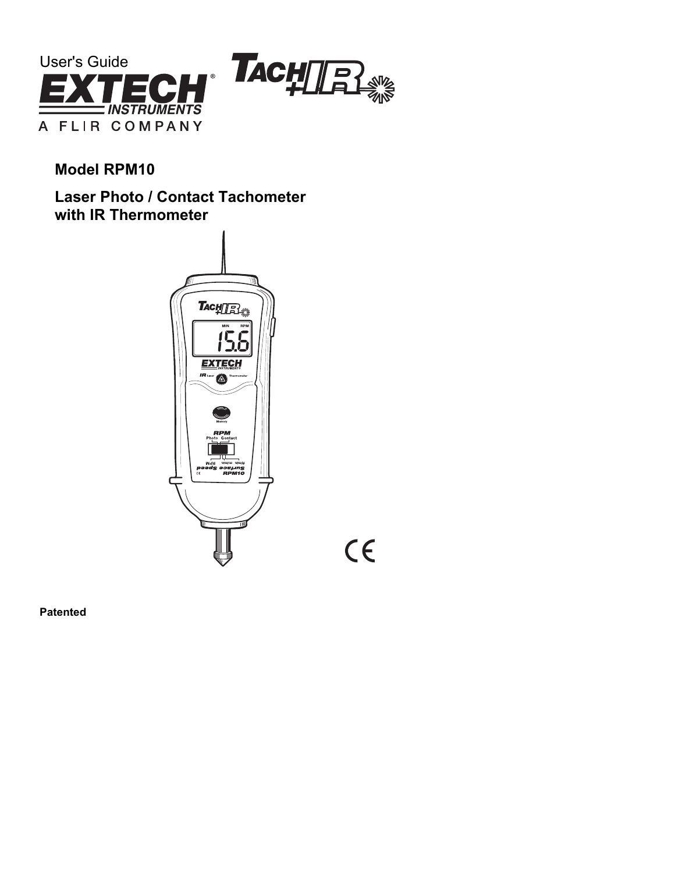

**Model RPM10** 

**Laser Photo / Contact Tachometer with IR Thermometer** 



 $C\epsilon$ 

**Patented**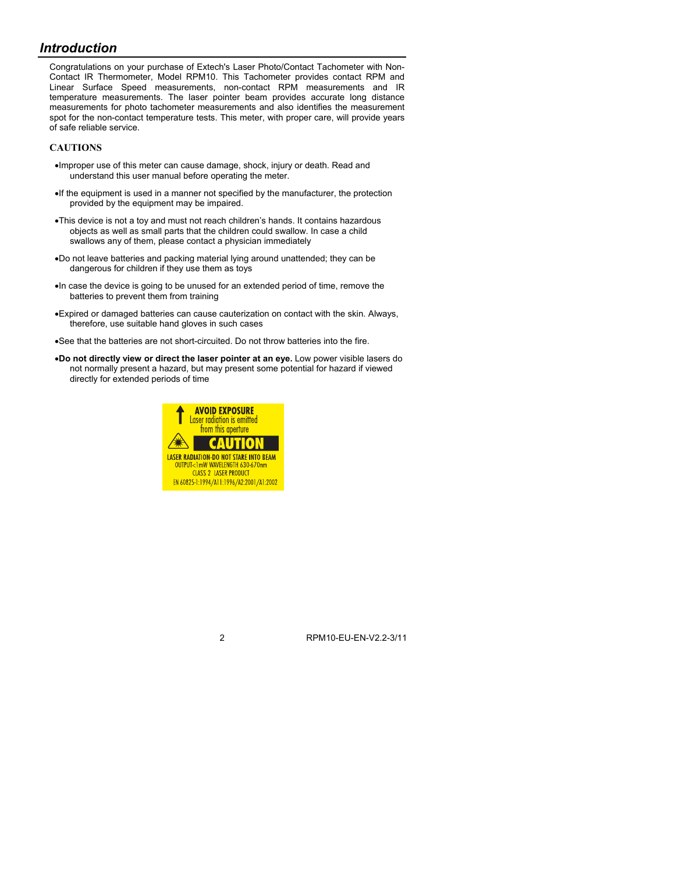# *Introduction*

Congratulations on your purchase of Extech's Laser Photo/Contact Tachometer with Non-Contact IR Thermometer, Model RPM10. This Tachometer provides contact RPM and Linear Surface Speed measurements, non-contact RPM measurements and IR temperature measurements. The laser pointer beam provides accurate long distance measurements for photo tachometer measurements and also identifies the measurement spot for the non-contact temperature tests. This meter, with proper care, will provide years of safe reliable service.

## **CAUTIONS**

- •Improper use of this meter can cause damage, shock, injury or death. Read and understand this user manual before operating the meter.
- •If the equipment is used in a manner not specified by the manufacturer, the protection provided by the equipment may be impaired.
- •This device is not a toy and must not reach children's hands. It contains hazardous objects as well as small parts that the children could swallow. In case a child swallows any of them, please contact a physician immediately
- •Do not leave batteries and packing material lying around unattended; they can be dangerous for children if they use them as toys
- •In case the device is going to be unused for an extended period of time, remove the batteries to prevent them from training
- •Expired or damaged batteries can cause cauterization on contact with the skin. Always, therefore, use suitable hand gloves in such cases
- •See that the batteries are not short-circuited. Do not throw batteries into the fire.
- •**Do not directly view or direct the laser pointer at an eye.** Low power visible lasers do not normally present a hazard, but may present some potential for hazard if viewed directly for extended periods of time

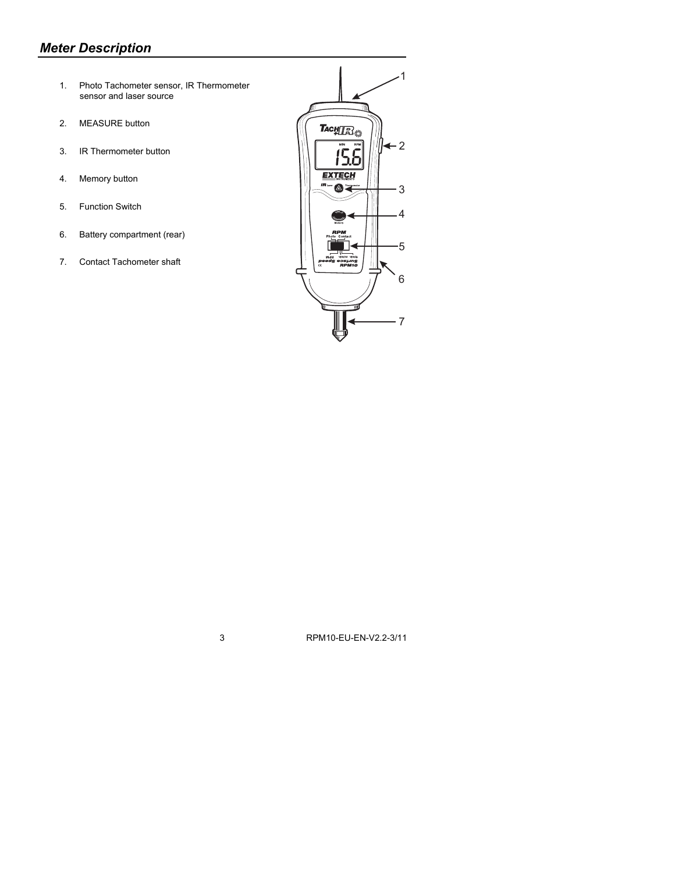# *Meter Description*

- 1. Photo Tachometer sensor, IR Thermometer sensor and laser source
- 2. MEASURE button
- 3. IR Thermometer button
- 4. Memory button
- 5. Function Switch
- 6. Battery compartment (rear)
- 7. Contact Tachometer shaft

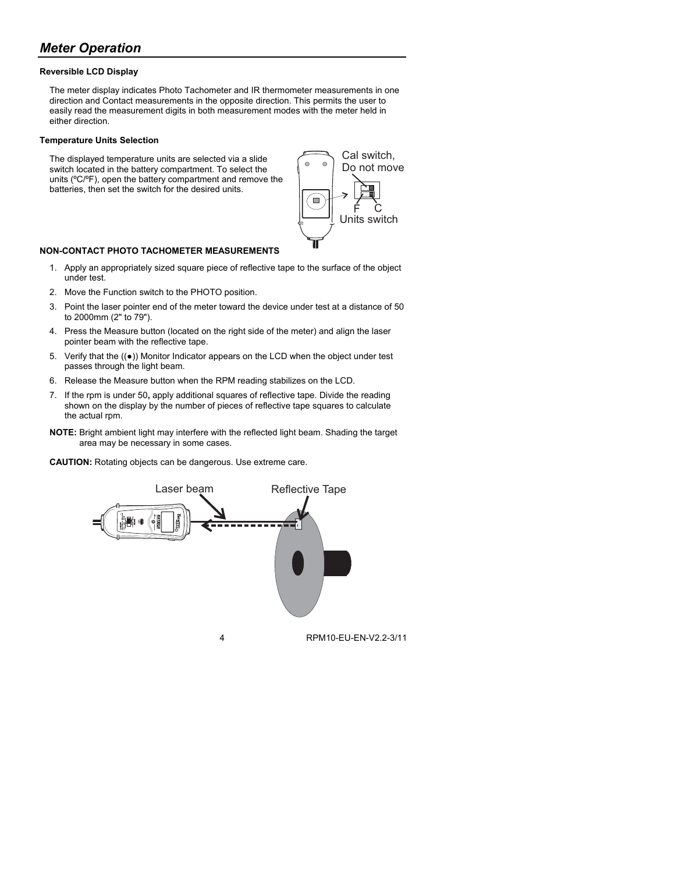# *Meter Operation*

### **Reversible LCD Display**

The meter display indicates Photo Tachometer and IR thermometer measurements in one direction and Contact measurements in the opposite direction. This permits the user to easily read the measurement digits in both measurement modes with the meter held in either direction.

#### **Temperature Units Selection**

The displayed temperature units are selected via a slide switch located in the battery compartment. To select the units (ºC/ºF), open the battery compartment and remove the batteries, then set the switch for the desired units.



### **NON-CONTACT PHOTO TACHOMETER MEASUREMENTS**

- 1. Apply an appropriately sized square piece of reflective tape to the surface of the object under test.
- 2. Move the Function switch to the PHOTO position.
- 3. Point the laser pointer end of the meter toward the device under test at a distance of 50 to 2000mm (2" to 79").
- 4. Press the Measure button (located on the right side of the meter) and align the laser pointer beam with the reflective tape.
- 5. Verify that the ((●)) Monitor Indicator appears on the LCD when the object under test passes through the light beam.
- 6. Release the Measure button when the RPM reading stabilizes on the LCD.
- 7. If the rpm is under 50**,** apply additional squares of reflective tape. Divide the reading shown on the display by the number of pieces of reflective tape squares to calculate the actual rpm.
- **NOTE:** Bright ambient light may interfere with the reflected light beam. Shading the target area may be necessary in some cases.

**CAUTION:** Rotating objects can be dangerous. Use extreme care.

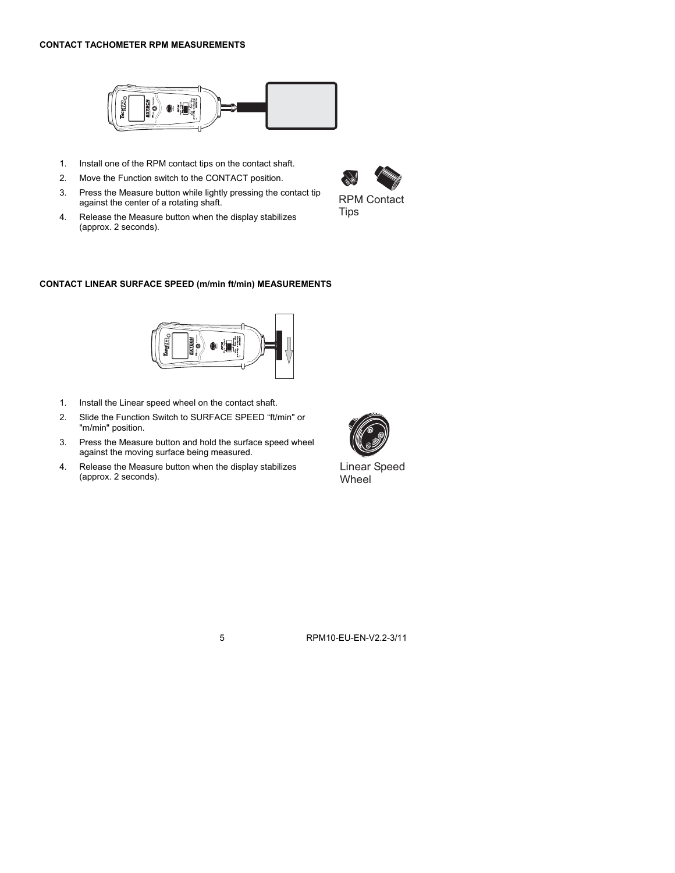## **CONTACT TACHOMETER RPM MEASUREMENTS**



- 1. Install one of the RPM contact tips on the contact shaft.
- 2. Move the Function switch to the CONTACT position.
- 3. Press the Measure button while lightly pressing the contact tip against the center of a rotating shaft.
- 4. Release the Measure button when the display stabilizes (approx. 2 seconds).



## **CONTACT LINEAR SURFACE SPEED (m/min ft/min) MEASUREMENTS**



- 1. Install the Linear speed wheel on the contact shaft.
- 2. Slide the Function Switch to SURFACE SPEED "ft/min" or "m/min" position.
- 3. Press the Measure button and hold the surface speed wheel against the moving surface being measured.
- 4. Release the Measure button when the display stabilizes (approx. 2 seconds).



Linear Speed **Wheel**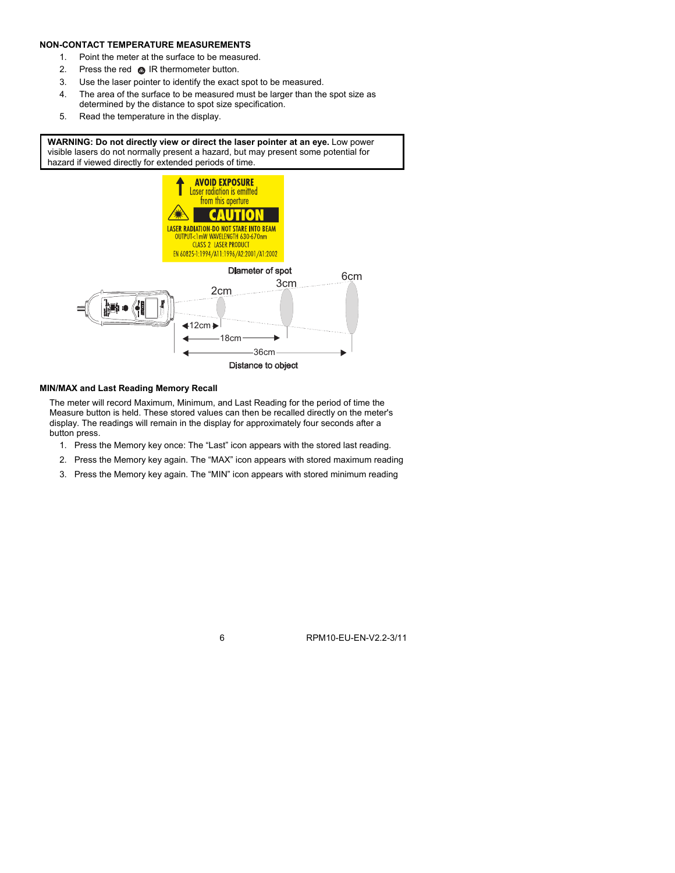### **NON-CONTACT TEMPERATURE MEASUREMENTS**

- 1. Point the meter at the surface to be measured.
- 2. Press the red @ IR thermometer button.
- 3. Use the laser pointer to identify the exact spot to be measured.
- 4. The area of the surface to be measured must be larger than the spot size as determined by the distance to spot size specification.
- 5. Read the temperature in the display.

**WARNING: Do not directly view or direct the laser pointer at an eye.** Low power visible lasers do not normally present a hazard, but may present some potential for hazard if viewed directly for extended periods of time.



#### **MIN/MAX and Last Reading Memory Recall**

The meter will record Maximum, Minimum, and Last Reading for the period of time the Measure button is held. These stored values can then be recalled directly on the meter's display. The readings will remain in the display for approximately four seconds after a button press.

- 1. Press the Memory key once: The "Last" icon appears with the stored last reading.
- 2. Press the Memory key again. The "MAX" icon appears with stored maximum reading
- 3. Press the Memory key again. The "MIN" icon appears with stored minimum reading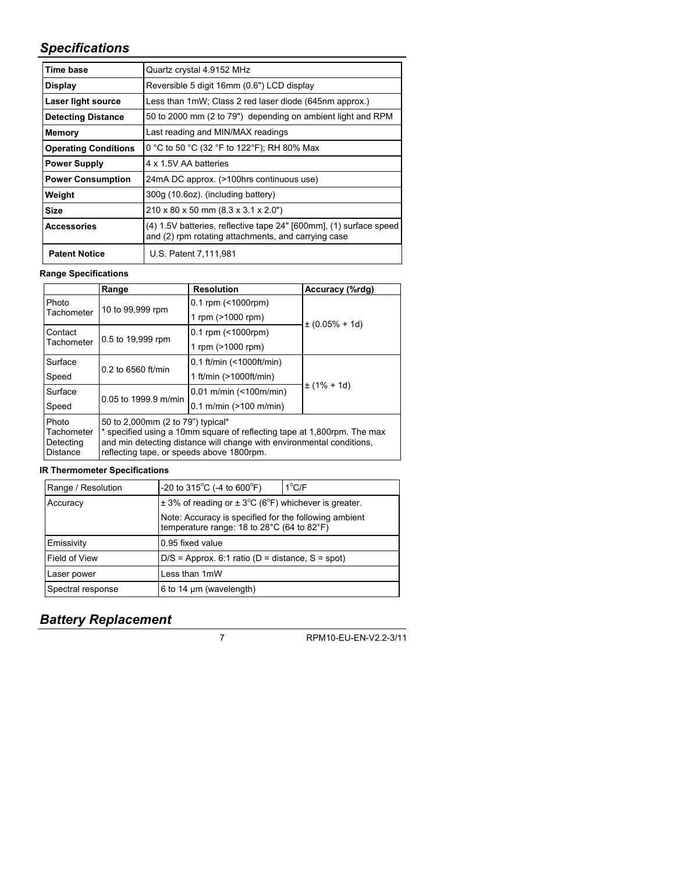# *Specifications*

| Time base                   | Quartz crystal 4.9152 MHz                                                                                                 |  |
|-----------------------------|---------------------------------------------------------------------------------------------------------------------------|--|
| <b>Display</b>              | Reversible 5 digit 16mm (0.6") LCD display                                                                                |  |
| Laser light source          | Less than 1mW; Class 2 red laser diode (645nm approx.)                                                                    |  |
| <b>Detecting Distance</b>   | 50 to 2000 mm (2 to 79") depending on ambient light and RPM                                                               |  |
| Memory                      | Last reading and MIN/MAX readings                                                                                         |  |
| <b>Operating Conditions</b> | 0 °C to 50 °C (32 °F to 122°F); RH 80% Max                                                                                |  |
| <b>Power Supply</b>         | 4 x 1.5V AA batteries                                                                                                     |  |
| <b>Power Consumption</b>    | 24mA DC approx. (>100hrs continuous use)                                                                                  |  |
| Weight                      | 300g (10.6oz). (including battery)                                                                                        |  |
| <b>Size</b>                 | 210 x 80 x 50 mm (8.3 x 3.1 x 2.0")                                                                                       |  |
| <b>Accessories</b>          | (4) 1.5V batteries, reflective tape 24" [600mm], (1) surface speed<br>and (2) rpm rotating attachments, and carrying case |  |
| <b>Patent Notice</b>        | U.S. Patent 7,111,981                                                                                                     |  |

# **Range Specifications**

|                                                     | Range                                                                                                                                                                                                                              | <b>Resolution</b>               | Accuracy (%rdg)     |  |
|-----------------------------------------------------|------------------------------------------------------------------------------------------------------------------------------------------------------------------------------------------------------------------------------------|---------------------------------|---------------------|--|
| Photo                                               | 10 to 99,999 rpm                                                                                                                                                                                                                   | $0.1$ rpm (<1000rpm)            | $\pm (0.05\% + 1d)$ |  |
| Tachometer                                          |                                                                                                                                                                                                                                    | 1 rpm (>1000 rpm)               |                     |  |
| Contact                                             |                                                                                                                                                                                                                                    | $0.1$ rpm (<1000rpm)            |                     |  |
| Tachometer                                          | 0.5 to 19,999 rpm                                                                                                                                                                                                                  | 1 rpm (>1000 rpm)               |                     |  |
| Surface                                             | 0.2 to 6560 ft/min                                                                                                                                                                                                                 | 0.1 ft/min $($ < 1000ft/min $)$ | $\pm$ (1% + 1d)     |  |
| Speed                                               |                                                                                                                                                                                                                                    | 1 ft/min (>1000ft/min)          |                     |  |
| Surface                                             | 0.05 to 1999.9 m/min                                                                                                                                                                                                               | $0.01$ m/min (<100m/min)        |                     |  |
| Speed                                               |                                                                                                                                                                                                                                    | $0.1$ m/min (>100 m/min)        |                     |  |
| Photo<br>Tachometer<br>Detecting<br><b>Distance</b> | 50 to 2,000mm (2 to 79") typical*<br>* specified using a 10mm square of reflecting tape at 1,800rpm. The max<br>and min detecting distance will change with environmental conditions,<br>reflecting tape, or speeds above 1800rpm. |                                 |                     |  |

# **IR Thermometer Specifications**

| Range / Resolution | -20 to 315 <sup>°</sup> C (-4 to 600 <sup>°</sup> F)                                                | $1^{\circ}$ C/F |  |
|--------------------|-----------------------------------------------------------------------------------------------------|-----------------|--|
| Accuracy           | $\pm$ 3% of reading or $\pm$ 3°C (6°F) whichever is greater.                                        |                 |  |
|                    | Note: Accuracy is specified for the following ambient<br>temperature range: 18 to 28°C (64 to 82°F) |                 |  |
| Emissivity         | 0.95 fixed value                                                                                    |                 |  |
| Field of View      | $D/S =$ Approx. 6:1 ratio (D = distance, S = spot)                                                  |                 |  |
| Laser power        | Less than 1mW                                                                                       |                 |  |
| Spectral response  | 6 to 14 $\mu$ m (wavelength)                                                                        |                 |  |

# *Battery Replacement*